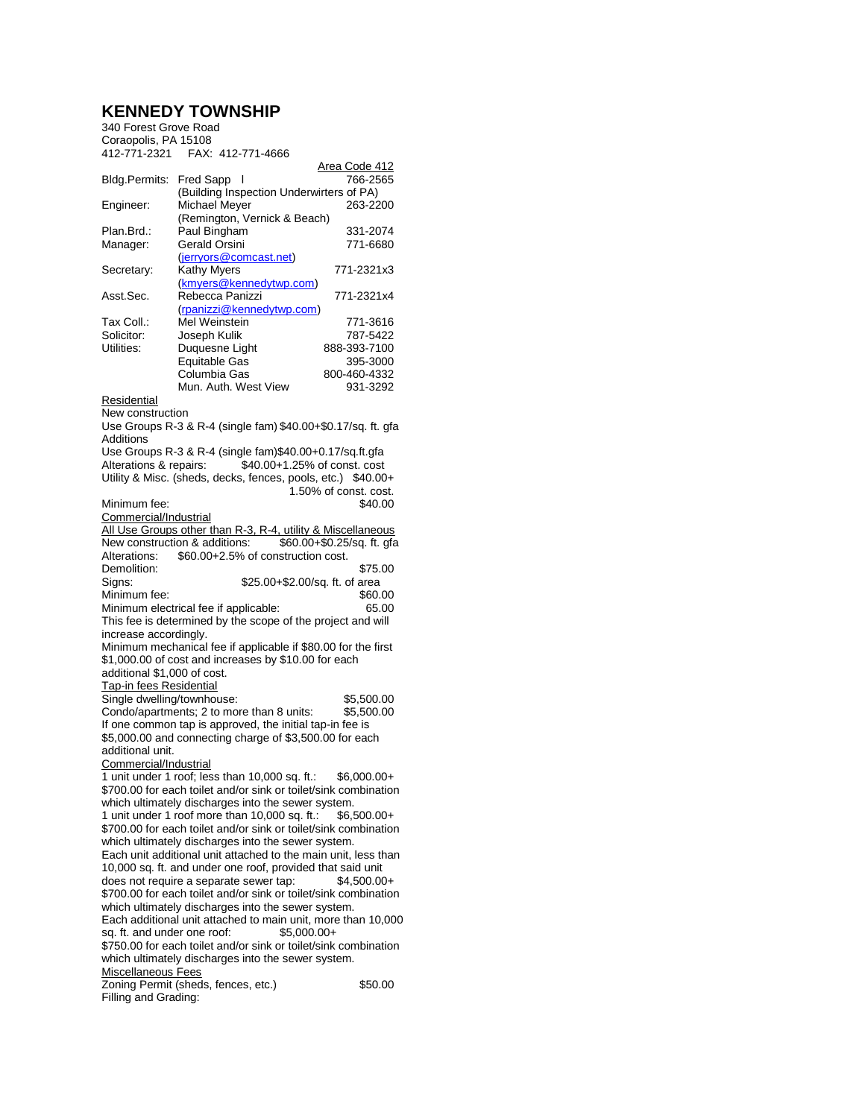## **KENNEDY TOWNSHIP**

| 340 Forest Grove Road |                                          |               |  |
|-----------------------|------------------------------------------|---------------|--|
| Coraopolis, PA 15108  |                                          |               |  |
| 412-771-2321          | FAX: 412-771-4666                        |               |  |
|                       |                                          | Area Code 412 |  |
| Bldg.Permits:         | Fred Sapp I                              | 766-2565      |  |
|                       | (Building Inspection Underwirters of PA) |               |  |
| Engineer:             | Michael Meyer                            | 263-2200      |  |
|                       | (Remington, Vernick & Beach)             |               |  |
| Plan.Brd.:            | Paul Bingham                             | 331-2074      |  |
| Manager:              | Gerald Orsini                            | 771-6680      |  |
|                       | (jerryors@comcast.net)                   |               |  |
| Secretary:            | Kathy Myers                              | 771-2321x3    |  |
|                       | (kmyers@kennedytwp.com)                  |               |  |
| Asst.Sec.             | Rebecca Panizzi                          | 771-2321x4    |  |
|                       | (rpanizzi@kennedytwp.com)                |               |  |
| Tax Coll.:            | Mel Weinstein                            | 771-3616      |  |
| Solicitor:            | Joseph Kulik                             | 787-5422      |  |
| Utilities:            | Duquesne Light                           | 888-393-7100  |  |
|                       | <b>Equitable Gas</b>                     | 395-3000      |  |
|                       | Columbia Gas                             | 800-460-4332  |  |
|                       | Mun. Auth. West View                     | 931-3292      |  |
|                       |                                          |               |  |

Residential

New construction

Use Groups R-3 & R-4 (single fam) \$40.00+\$0.17/sq. ft. gfa Additions Use Groups R-3 & R-4 (single fam)\$40.00+0.17/sq.ft.gfa

Alterations & repairs: \$40.00+1.25% of const. cost Utility & Misc. (sheds, decks, fences, pools, etc.) \$40.00+ 1.50% of const. cost. Minimum fee: Commercial/Industrial All Use Groups other than R-3, R-4, utility & Miscellaneous<br>New construction & additions: \$60.00+\$0.25/sq. ft. gfa New construction & additions: Alterations: \$60.00+2.5% of construction cost. Demolition: \$75.00<br>Signs: \$25.00+\$2.00/sq. ft. of area \$25.00+\$2.00/sq. ft. of area<br>\$60.00 Minimum fee: \$60.00<br>Minimum electrical fee if applicable: \$65.00 Minimum electrical fee if applicable: This fee is determined by the scope of the project and will increase accordingly. Minimum mechanical fee if applicable if \$80.00 for the first \$1,000.00 of cost and increases by \$10.00 for each additional \$1,000 of cost. Tap-in fees Residential Single dwelling/townhouse: \$5,500.00 Condo/apartments; 2 to more than 8 units: \$5,500.00 If one common tap is approved, the initial tap-in fee is \$5,000.00 and connecting charge of \$3,500.00 for each additional unit. Commercial/Industrial 1 unit under 1 roof; less than 10,000 sq. ft.: \$6,000.00+ \$700.00 for each toilet and/or sink or toilet/sink combination which ultimately discharges into the sewer system. 1 unit under 1 roof more than 10,000 sq. ft.: \$6,500.00+ \$700.00 for each toilet and/or sink or toilet/sink combination which ultimately discharges into the sewer system. Each unit additional unit attached to the main unit, less than 10,000 sq. ft. and under one roof, provided that said unit does not require a separate sewer tap: \$700.00 for each toilet and/or sink or toilet/sink combination which ultimately discharges into the sewer system.

Each additional unit attached to main unit, more than 10,000 sq. ft. and under one roof: \$5,000,00+ sq. ft. and under one roof: \$750.00 for each toilet and/or sink or toilet/sink combination

which ultimately discharges into the sewer system.

Miscellaneous Fees

Zoning Permit (sheds, fences, etc.) \$50.00 Filling and Grading: